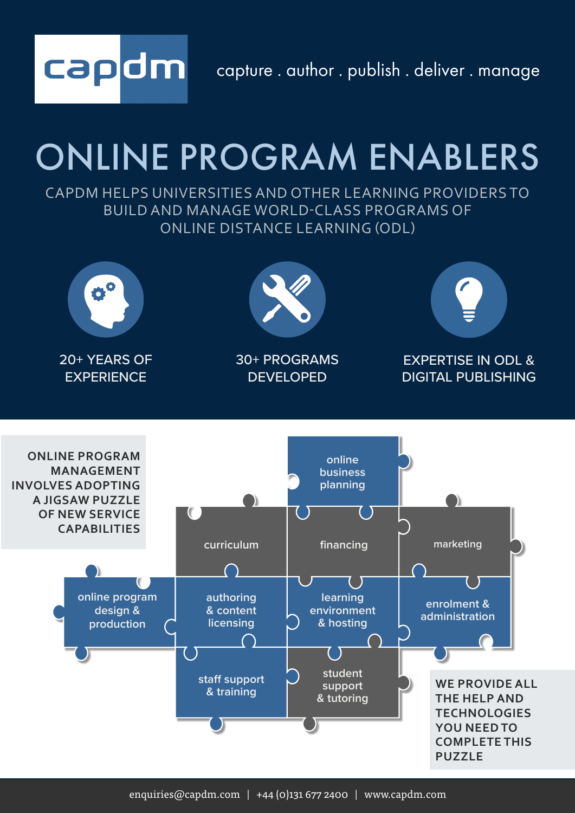capture . author . publish . deliver . manage

# ONLINE PROGRAM ENABLERS

capdm

CAPDM HELPS UNIVERSITIES AND OTHER LEARNING PROVIDERS TO BUILD AND MANAGE WORLD-CLASS PROGRAMS OF ONLINE DISTANCE LEARNING (ODL)

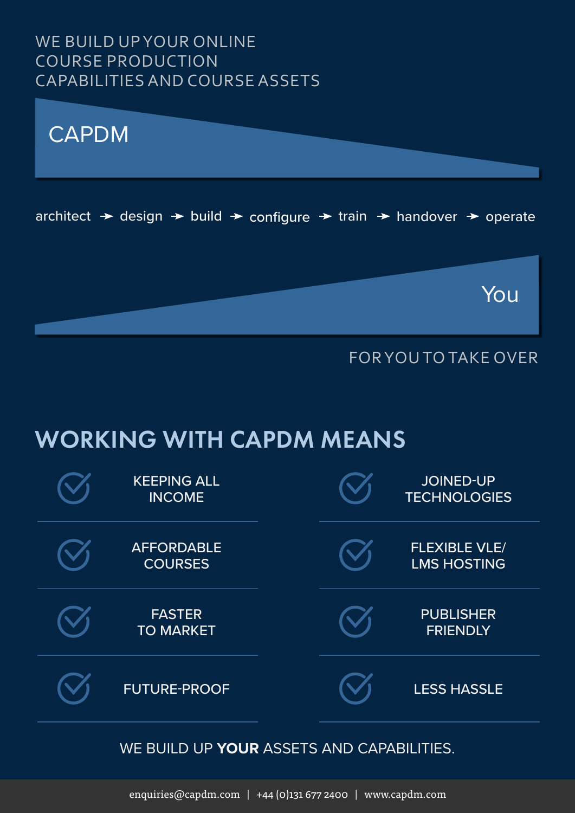### WE BUILD UP YOUR ONLINE COURSE PRODUCTION CAPABILITIES AND COURSE ASSETS



### FOR YOU TO TAKE OVER

## WORKING WITH CAPDM MEANS

| <b>KEEPING ALL</b><br><b>INCOME</b> |  | <b>JOINED-UP</b><br><b>TECHNOLOGIES</b>    |
|-------------------------------------|--|--------------------------------------------|
| <b>AFFORDABLE</b><br><b>COURSES</b> |  | <b>FLEXIBLE VLE/</b><br><b>LMS HOSTING</b> |
| <b>FASTER</b><br><b>TO MARKET</b>   |  | <b>PUBLISHER</b><br><b>FRIENDLY</b>        |
| <b>FUTURE-PROOF</b>                 |  | <b>LESS HASSLE</b>                         |

#### WE BUILD UP **YOUR** ASSETS AND CAPABILITIES.

enquiries@capdm.com | +44 (0)131 677 2400 | www.capdm.com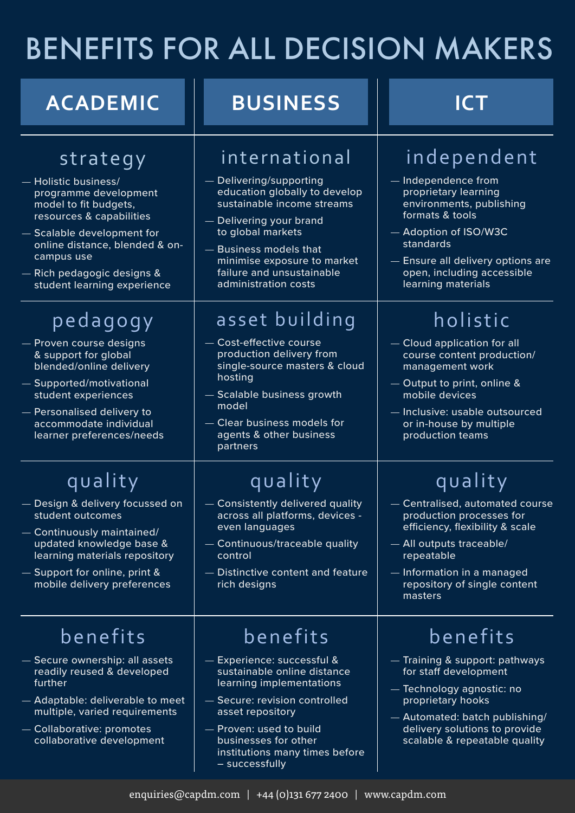## BENEFITS FOR ALL DECISION MAKERS

| <b>ACADEMIC</b>                                                                                                                                                                                                                                           | <b>BUSINESS</b>                                                                                                                                                                                                                                                        | <b>ICT</b>                                                                                                                                                                                                                             |
|-----------------------------------------------------------------------------------------------------------------------------------------------------------------------------------------------------------------------------------------------------------|------------------------------------------------------------------------------------------------------------------------------------------------------------------------------------------------------------------------------------------------------------------------|----------------------------------------------------------------------------------------------------------------------------------------------------------------------------------------------------------------------------------------|
| strategy<br>- Holistic business/<br>programme development<br>model to fit budgets,<br>resources & capabilities<br>- Scalable development for<br>online distance, blended & on-<br>campus use<br>- Rich pedagogic designs &<br>student learning experience | international<br>Delivering/supporting<br>education globally to develop<br>sustainable income streams<br>Delivering your brand<br>to global markets<br><b>Business models that</b><br>minimise exposure to market<br>failure and unsustainable<br>administration costs | independent<br>Independence from<br>proprietary learning<br>environments, publishing<br>formats & tools<br>- Adoption of ISO/W3C<br>standards<br>- Ensure all delivery options are<br>open, including accessible<br>learning materials |
| pedagogy<br>- Proven course designs<br>& support for global<br>blended/online delivery<br>- Supported/motivational<br>student experiences<br>- Personalised delivery to<br>accommodate individual<br>learner preferences/needs                            | asset building<br>Cost-effective course<br>production delivery from<br>single-source masters & cloud<br>hosting<br>- Scalable business growth<br>model<br>- Clear business models for<br>agents & other business<br>partners                                           | holistic<br>- Cloud application for all<br>course content production/<br>management work<br>- Output to print, online &<br>mobile devices<br>- Inclusive: usable outsourced<br>or in-house by multiple<br>production teams             |
| quality<br>- Design & delivery focussed on<br>student outcomes<br>Continuously maintained/<br>updated knowledge base &<br>learning materials repository<br>- Support for online, print &<br>mobile delivery preferences                                   | quality<br>- Consistently delivered quality<br>across all platforms, devices -<br>even languages<br>- Continuous/traceable quality<br>control<br>- Distinctive content and feature<br>rich designs                                                                     | quality<br>- Centralised, automated course<br>production processes for<br>efficiency, flexibility & scale<br>- All outputs traceable/<br>repeatable<br>- Information in a managed<br>repository of single content<br>masters           |
| benefits<br>- Secure ownership: all assets<br>readily reused & developed<br>further<br>Adaptable: deliverable to meet<br>multiple, varied requirements<br>- Collaborative: promotes<br>collaborative development                                          | benefits<br>- Experience: successful &<br>sustainable online distance<br>learning implementations<br>Secure: revision controlled<br>asset repository<br>- Proven: used to build<br>businesses for other<br>institutions many times before<br>- successfully            | benefits<br>- Training & support: pathways<br>for staff development<br>— Technology agnostic: no<br>proprietary hooks<br>- Automated: batch publishing/<br>delivery solutions to provide<br>scalable & repeatable quality              |